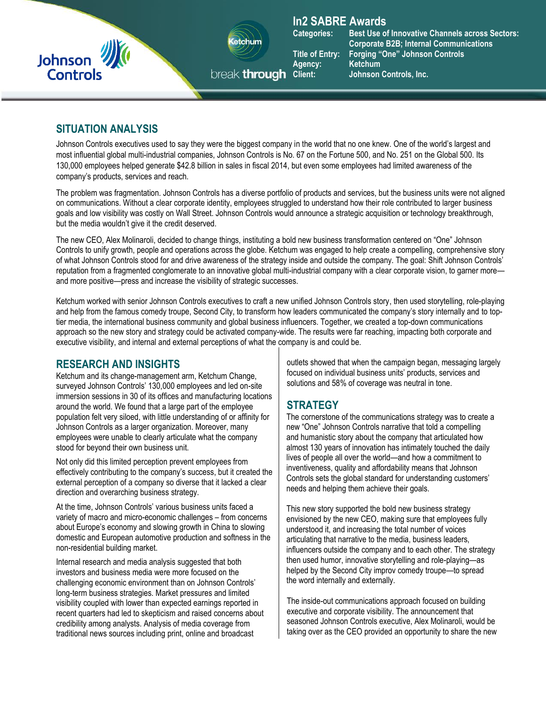



# **In2 SABRE Awards**

Agency: **Ketchum**<br>break **through** Client: Johnson

**Categories: Best Use of Innovative Channels across Sectors: Corporate B2B; Internal Communications Title of Entry: Forging "One" Johnson Controls Johnson Controls, Inc.** 

### **SITUATION ANALYSIS**

Johnson Controls executives used to say they were the biggest company in the world that no one knew. One of the world's largest and most influential global multi-industrial companies, Johnson Controls is No. 67 on the Fortune 500, and No. 251 on the Global 500. Its 130,000 employees helped generate \$42.8 billion in sales in fiscal 2014, but even some employees had limited awareness of the company's products, services and reach.

The problem was fragmentation. Johnson Controls has a diverse portfolio of products and services, but the business units were not aligned on communications. Without a clear corporate identity, employees struggled to understand how their role contributed to larger business goals and low visibility was costly on Wall Street. Johnson Controls would announce a strategic acquisition or technology breakthrough, but the media wouldn't give it the credit deserved.

The new CEO, Alex Molinaroli, decided to change things, instituting a bold new business transformation centered on "One" Johnson Controls to unify growth, people and operations across the globe. Ketchum was engaged to help create a compelling, comprehensive story of what Johnson Controls stood for and drive awareness of the strategy inside and outside the company. The goal: Shift Johnson Controls' reputation from a fragmented conglomerate to an innovative global multi-industrial company with a clear corporate vision, to garner more and more positive—press and increase the visibility of strategic successes.

Ketchum worked with senior Johnson Controls executives to craft a new unified Johnson Controls story, then used storytelling, role-playing and help from the famous comedy troupe, Second City, to transform how leaders communicated the company's story internally and to toptier media, the international business community and global business influencers. Together, we created a top-down communications approach so the new story and strategy could be activated company-wide. The results were far reaching, impacting both corporate and executive visibility, and internal and external perceptions of what the company is and could be.

### **RESEARCH AND INSIGHTS**

Ketchum and its change-management arm, Ketchum Change, surveyed Johnson Controls' 130,000 employees and led on-site immersion sessions in 30 of its offices and manufacturing locations around the world. We found that a large part of the employee population felt very siloed, with little understanding of or affinity for Johnson Controls as a larger organization. Moreover, many employees were unable to clearly articulate what the company stood for beyond their own business unit.

Not only did this limited perception prevent employees from effectively contributing to the company's success, but it created the external perception of a company so diverse that it lacked a clear direction and overarching business strategy.

At the time, Johnson Controls' various business units faced a variety of macro and micro-economic challenges – from concerns about Europe's economy and slowing growth in China to slowing domestic and European automotive production and softness in the non-residential building market.

Internal research and media analysis suggested that both investors and business media were more focused on the challenging economic environment than on Johnson Controls' long-term business strategies. Market pressures and limited visibility coupled with lower than expected earnings reported in recent quarters had led to skepticism and raised concerns about credibility among analysts. Analysis of media coverage from traditional news sources including print, online and broadcast

outlets showed that when the campaign began, messaging largely focused on individual business units' products, services and solutions and 58% of coverage was neutral in tone.

# **STRATEGY**

The cornerstone of the communications strategy was to create a new "One" Johnson Controls narrative that told a compelling and humanistic story about the company that articulated how almost 130 years of innovation has intimately touched the daily lives of people all over the world—and how a commitment to inventiveness, quality and affordability means that Johnson Controls sets the global standard for understanding customers' needs and helping them achieve their goals.

This new story supported the bold new business strategy envisioned by the new CEO, making sure that employees fully understood it, and increasing the total number of voices articulating that narrative to the media, business leaders, influencers outside the company and to each other. The strategy then used humor, innovative storytelling and role-playing—as helped by the Second City improv comedy troupe—to spread the word internally and externally.

The inside-out communications approach focused on building executive and corporate visibility. The announcement that seasoned Johnson Controls executive, Alex Molinaroli, would be taking over as the CEO provided an opportunity to share the new